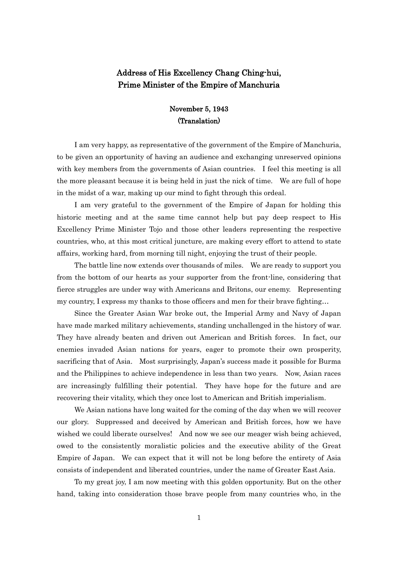## Address of His Excellency Chang Ching-hui, Prime Minister of the Empire of Manchuria

## November 5, 1943 (Translation)

I am very happy, as representative of the government of the Empire of Manchuria, to be given an opportunity of having an audience and exchanging unreserved opinions with key members from the governments of Asian countries. I feel this meeting is all the more pleasant because it is being held in just the nick of time. We are full of hope in the midst of a war, making up our mind to fight through this ordeal.

I am very grateful to the government of the Empire of Japan for holding this historic meeting and at the same time cannot help but pay deep respect to His Excellency Prime Minister Tojo and those other leaders representing the respective countries, who, at this most critical juncture, are making every effort to attend to state affairs, working hard, from morning till night, enjoying the trust of their people.

The battle line now extends over thousands of miles. We are ready to support you from the bottom of our hearts as your supporter from the front-line, considering that fierce struggles are under way with Americans and Britons, our enemy. Representing my country, I express my thanks to those officers and men for their brave fighting…

Since the Greater Asian War broke out, the Imperial Army and Navy of Japan have made marked military achievements, standing unchallenged in the history of war. They have already beaten and driven out American and British forces. In fact, our enemies invaded Asian nations for years, eager to promote their own prosperity, sacrificing that of Asia. Most surprisingly, Japan's success made it possible for Burma and the Philippines to achieve independence in less than two years. Now, Asian races are increasingly fulfilling their potential. They have hope for the future and are recovering their vitality, which they once lost to American and British imperialism.

We Asian nations have long waited for the coming of the day when we will recover our glory. Suppressed and deceived by American and British forces, how we have wished we could liberate ourselves! And now we see our meager wish being achieved, owed to the consistently moralistic policies and the executive ability of the Great Empire of Japan. We can expect that it will not be long before the entirety of Asia consists of independent and liberated countries, under the name of Greater East Asia.

To my great joy, I am now meeting with this golden opportunity. But on the other hand, taking into consideration those brave people from many countries who, in the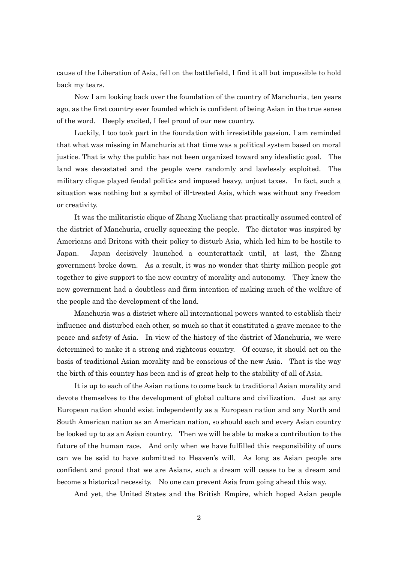cause of the Liberation of Asia, fell on the battlefield, I find it all but impossible to hold back my tears.

Now I am looking back over the foundation of the country of Manchuria, ten years ago, as the first country ever founded which is confident of being Asian in the true sense of the word. Deeply excited, I feel proud of our new country.

 Luckily, I too took part in the foundation with irresistible passion. I am reminded that what was missing in Manchuria at that time was a political system based on moral justice. That is why the public has not been organized toward any idealistic goal. The land was devastated and the people were randomly and lawlessly exploited. The military clique played feudal politics and imposed heavy, unjust taxes. In fact, such a situation was nothing but a symbol of ill-treated Asia, which was without any freedom or creativity.

 It was the militaristic clique of Zhang Xueliang that practically assumed control of the district of Manchuria, cruelly squeezing the people. The dictator was inspired by Americans and Britons with their policy to disturb Asia, which led him to be hostile to Japan. Japan decisively launched a counterattack until, at last, the Zhang government broke down. As a result, it was no wonder that thirty million people got together to give support to the new country of morality and autonomy. They knew the new government had a doubtless and firm intention of making much of the welfare of the people and the development of the land.

 Manchuria was a district where all international powers wanted to establish their influence and disturbed each other, so much so that it constituted a grave menace to the peace and safety of Asia. In view of the history of the district of Manchuria, we were determined to make it a strong and righteous country. Of course, it should act on the basis of traditional Asian morality and be conscious of the new Asia. That is the way the birth of this country has been and is of great help to the stability of all of Asia.

 It is up to each of the Asian nations to come back to traditional Asian morality and devote themselves to the development of global culture and civilization. Just as any European nation should exist independently as a European nation and any North and South American nation as an American nation, so should each and every Asian country be looked up to as an Asian country. Then we will be able to make a contribution to the future of the human race. And only when we have fulfilled this responsibility of ours can we be said to have submitted to Heaven's will. As long as Asian people are confident and proud that we are Asians, such a dream will cease to be a dream and become a historical necessity. No one can prevent Asia from going ahead this way.

And yet, the United States and the British Empire, which hoped Asian people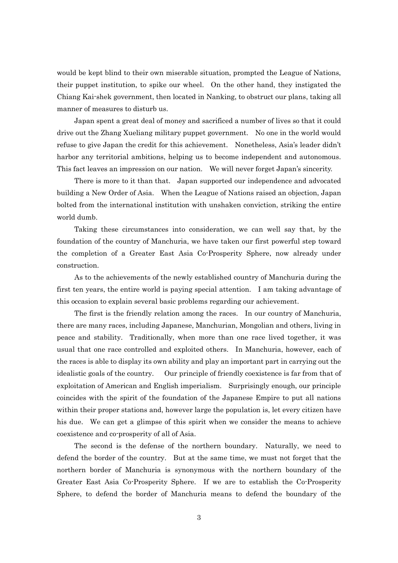would be kept blind to their own miserable situation, prompted the League of Nations, their puppet institution, to spike our wheel. On the other hand, they instigated the Chiang Kai-shek government, then located in Nanking, to obstruct our plans, taking all manner of measures to disturb us.

 Japan spent a great deal of money and sacrificed a number of lives so that it could drive out the Zhang Xueliang military puppet government. No one in the world would refuse to give Japan the credit for this achievement. Nonetheless, Asia's leader didn't harbor any territorial ambitions, helping us to become independent and autonomous. This fact leaves an impression on our nation. We will never forget Japan's sincerity.

There is more to it than that. Japan supported our independence and advocated building a New Order of Asia. When the League of Nations raised an objection, Japan bolted from the international institution with unshaken conviction, striking the entire world dumb.

 Taking these circumstances into consideration, we can well say that, by the foundation of the country of Manchuria, we have taken our first powerful step toward the completion of a Greater East Asia Co-Prosperity Sphere, now already under construction.

As to the achievements of the newly established country of Manchuria during the first ten years, the entire world is paying special attention. I am taking advantage of this occasion to explain several basic problems regarding our achievement.

 The first is the friendly relation among the races. In our country of Manchuria, there are many races, including Japanese, Manchurian, Mongolian and others, living in peace and stability. Traditionally, when more than one race lived together, it was usual that one race controlled and exploited others. In Manchuria, however, each of the races is able to display its own ability and play an important part in carrying out the idealistic goals of the country. Our principle of friendly coexistence is far from that of exploitation of American and English imperialism. Surprisingly enough, our principle coincides with the spirit of the foundation of the Japanese Empire to put all nations within their proper stations and, however large the population is, let every citizen have his due. We can get a glimpse of this spirit when we consider the means to achieve coexistence and co-prosperity of all of Asia.

 The second is the defense of the northern boundary. Naturally, we need to defend the border of the country. But at the same time, we must not forget that the northern border of Manchuria is synonymous with the northern boundary of the Greater East Asia Co-Prosperity Sphere. If we are to establish the Co-Prosperity Sphere, to defend the border of Manchuria means to defend the boundary of the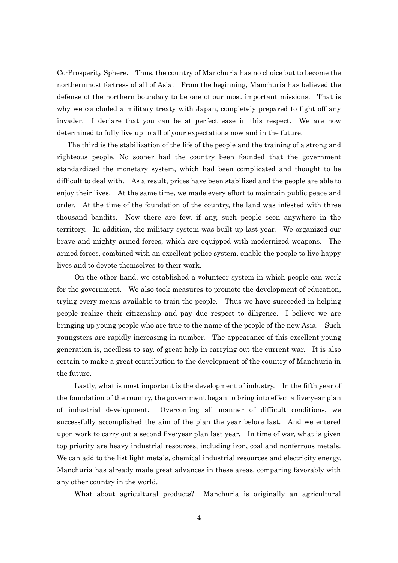Co-Prosperity Sphere. Thus, the country of Manchuria has no choice but to become the northernmost fortress of all of Asia. From the beginning, Manchuria has believed the defense of the northern boundary to be one of our most important missions. That is why we concluded a military treaty with Japan, completely prepared to fight off any invader. I declare that you can be at perfect ease in this respect. We are now determined to fully live up to all of your expectations now and in the future.

The third is the stabilization of the life of the people and the training of a strong and righteous people. No sooner had the country been founded that the government standardized the monetary system, which had been complicated and thought to be difficult to deal with. As a result, prices have been stabilized and the people are able to enjoy their lives. At the same time, we made every effort to maintain public peace and order. At the time of the foundation of the country, the land was infested with three thousand bandits. Now there are few, if any, such people seen anywhere in the territory. In addition, the military system was built up last year. We organized our brave and mighty armed forces, which are equipped with modernized weapons. The armed forces, combined with an excellent police system, enable the people to live happy lives and to devote themselves to their work.

On the other hand, we established a volunteer system in which people can work for the government. We also took measures to promote the development of education, trying every means available to train the people. Thus we have succeeded in helping people realize their citizenship and pay due respect to diligence. I believe we are bringing up young people who are true to the name of the people of the new Asia. Such youngsters are rapidly increasing in number. The appearance of this excellent young generation is, needless to say, of great help in carrying out the current war. It is also certain to make a great contribution to the development of the country of Manchuria in the future.

 Lastly, what is most important is the development of industry. In the fifth year of the foundation of the country, the government began to bring into effect a five-year plan of industrial development. Overcoming all manner of difficult conditions, we successfully accomplished the aim of the plan the year before last. And we entered upon work to carry out a second five-year plan last year. In time of war, what is given top priority are heavy industrial resources, including iron, coal and nonferrous metals. We can add to the list light metals, chemical industrial resources and electricity energy. Manchuria has already made great advances in these areas, comparing favorably with any other country in the world.

What about agricultural products? Manchuria is originally an agricultural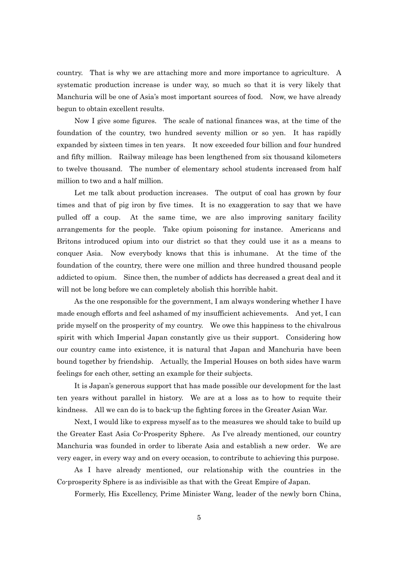country. That is why we are attaching more and more importance to agriculture. A systematic production increase is under way, so much so that it is very likely that Manchuria will be one of Asia's most important sources of food. Now, we have already begun to obtain excellent results.

Now I give some figures. The scale of national finances was, at the time of the foundation of the country, two hundred seventy million or so yen. It has rapidly expanded by sixteen times in ten years. It now exceeded four billion and four hundred and fifty million. Railway mileage has been lengthened from six thousand kilometers to twelve thousand. The number of elementary school students increased from half million to two and a half million.

Let me talk about production increases. The output of coal has grown by four times and that of pig iron by five times. It is no exaggeration to say that we have pulled off a coup. At the same time, we are also improving sanitary facility arrangements for the people. Take opium poisoning for instance. Americans and Britons introduced opium into our district so that they could use it as a means to conquer Asia. Now everybody knows that this is inhumane. At the time of the foundation of the country, there were one million and three hundred thousand people addicted to opium. Since then, the number of addicts has decreased a great deal and it will not be long before we can completely abolish this horrible habit.

 As the one responsible for the government, I am always wondering whether I have made enough efforts and feel ashamed of my insufficient achievements. And yet, I can pride myself on the prosperity of my country. We owe this happiness to the chivalrous spirit with which Imperial Japan constantly give us their support. Considering how our country came into existence, it is natural that Japan and Manchuria have been bound together by friendship. Actually, the Imperial Houses on both sides have warm feelings for each other, setting an example for their subjects.

 It is Japan's generous support that has made possible our development for the last ten years without parallel in history. We are at a loss as to how to requite their kindness. All we can do is to back-up the fighting forces in the Greater Asian War.

 Next, I would like to express myself as to the measures we should take to build up the Greater East Asia Co-Prosperity Sphere. As I've already mentioned, our country Manchuria was founded in order to liberate Asia and establish a new order. We are very eager, in every way and on every occasion, to contribute to achieving this purpose.

 As I have already mentioned, our relationship with the countries in the Co-prosperity Sphere is as indivisible as that with the Great Empire of Japan.

Formerly, His Excellency, Prime Minister Wang, leader of the newly born China,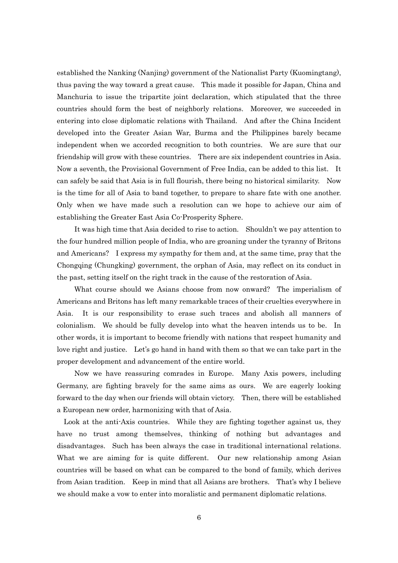established the Nanking (Nanjing) government of the Nationalist Party (Kuomingtang), thus paving the way toward a great cause. This made it possible for Japan, China and Manchuria to issue the tripartite joint declaration, which stipulated that the three countries should form the best of neighborly relations. Moreover, we succeeded in entering into close diplomatic relations with Thailand. And after the China Incident developed into the Greater Asian War, Burma and the Philippines barely became independent when we accorded recognition to both countries. We are sure that our friendship will grow with these countries. There are six independent countries in Asia. Now a seventh, the Provisional Government of Free India, can be added to this list. It can safely be said that Asia is in full flourish, there being no historical similarity. Now is the time for all of Asia to band together, to prepare to share fate with one another. Only when we have made such a resolution can we hope to achieve our aim of establishing the Greater East Asia Co-Prosperity Sphere.

It was high time that Asia decided to rise to action. Shouldn't we pay attention to the four hundred million people of India, who are groaning under the tyranny of Britons and Americans? I express my sympathy for them and, at the same time, pray that the Chongqing (Chungking) government, the orphan of Asia, may reflect on its conduct in the past, setting itself on the right track in the cause of the restoration of Asia.

 What course should we Asians choose from now onward? The imperialism of Americans and Britons has left many remarkable traces of their cruelties everywhere in Asia. It is our responsibility to erase such traces and abolish all manners of colonialism. We should be fully develop into what the heaven intends us to be. In other words, it is important to become friendly with nations that respect humanity and love right and justice. Let's go hand in hand with them so that we can take part in the proper development and advancement of the entire world.

 Now we have reassuring comrades in Europe. Many Axis powers, including Germany, are fighting bravely for the same aims as ours. We are eagerly looking forward to the day when our friends will obtain victory. Then, there will be established a European new order, harmonizing with that of Asia.

Look at the anti-Axis countries. While they are fighting together against us, they have no trust among themselves, thinking of nothing but advantages and disadvantages. Such has been always the case in traditional international relations. What we are aiming for is quite different. Our new relationship among Asian countries will be based on what can be compared to the bond of family, which derives from Asian tradition. Keep in mind that all Asians are brothers. That's why I believe we should make a vow to enter into moralistic and permanent diplomatic relations.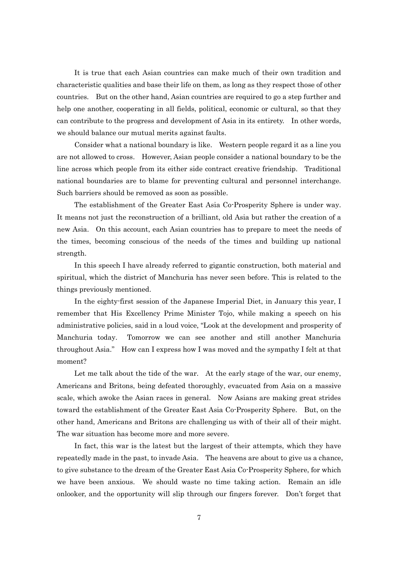It is true that each Asian countries can make much of their own tradition and characteristic qualities and base their life on them, as long as they respect those of other countries. But on the other hand, Asian countries are required to go a step further and help one another, cooperating in all fields, political, economic or cultural, so that they can contribute to the progress and development of Asia in its entirety. In other words, we should balance our mutual merits against faults.

Consider what a national boundary is like. Western people regard it as a line you are not allowed to cross. However, Asian people consider a national boundary to be the line across which people from its either side contract creative friendship. Traditional national boundaries are to blame for preventing cultural and personnel interchange. Such barriers should be removed as soon as possible.

 The establishment of the Greater East Asia Co-Prosperity Sphere is under way. It means not just the reconstruction of a brilliant, old Asia but rather the creation of a new Asia. On this account, each Asian countries has to prepare to meet the needs of the times, becoming conscious of the needs of the times and building up national strength.

 In this speech I have already referred to gigantic construction, both material and spiritual, which the district of Manchuria has never seen before. This is related to the things previously mentioned.

In the eighty-first session of the Japanese Imperial Diet, in January this year, I remember that His Excellency Prime Minister Tojo, while making a speech on his administrative policies, said in a loud voice, "Look at the development and prosperity of Manchuria today. Tomorrow we can see another and still another Manchuria throughout Asia." How can I express how I was moved and the sympathy I felt at that moment?

Let me talk about the tide of the war. At the early stage of the war, our enemy, Americans and Britons, being defeated thoroughly, evacuated from Asia on a massive scale, which awoke the Asian races in general. Now Asians are making great strides toward the establishment of the Greater East Asia Co-Prosperity Sphere. But, on the other hand, Americans and Britons are challenging us with of their all of their might. The war situation has become more and more severe.

 In fact, this war is the latest but the largest of their attempts, which they have repeatedly made in the past, to invade Asia. The heavens are about to give us a chance, to give substance to the dream of the Greater East Asia Co-Prosperity Sphere, for which we have been anxious. We should waste no time taking action. Remain an idle onlooker, and the opportunity will slip through our fingers forever. Don't forget that